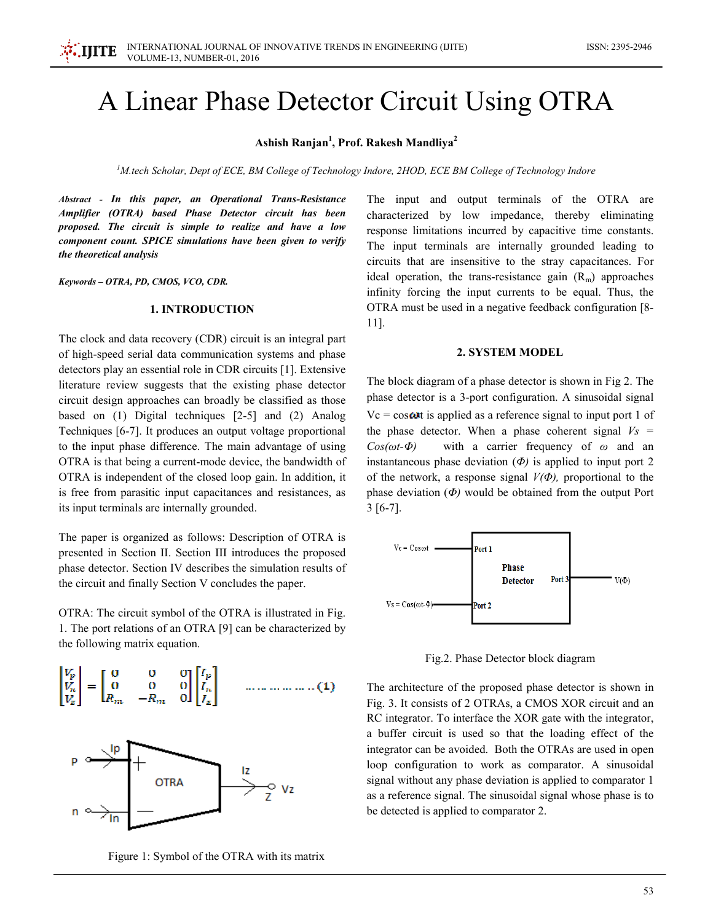# A Linear Phase Detector Circuit Using OTRA

## Ashish Ranjan<sup>1</sup>, Prof. Rakesh Mandliya<sup>2</sup>

<sup>1</sup>M.tech Scholar, Dept of ECE, BM College of Technology Indore, 2HOD, ECE BM College of Technology Indore

Abstract - In this paper, an Operational Trans-Resistance Amplifier (OTRA) based Phase Detector circuit has been proposed. The circuit is simple to realize and have a low component count. SPICE simulations have been given to verify the theoretical analysis

Keywords - OTRA, PD, CMOS, VCO, CDR.

#### **1. INTRODUCTION**

The clock and data recovery (CDR) circuit is an integral part of high-speed serial data communication systems and phase detectors play an essential role in CDR circuits [1]. Extensive literature review suggests that the existing phase detector circuit design approaches can broadly be classified as those based on  $(1)$  Digital techniques  $[2-5]$  and  $(2)$  Analog Techniques [6-7]. It produces an output voltage proportional to the input phase difference. The main advantage of using OTRA is that being a current-mode device, the bandwidth of OTRA is independent of the closed loop gain. In addition, it is free from parasitic input capacitances and resistances, as its input terminals are internally grounded.

The paper is organized as follows: Description of OTRA is presented in Section II. Section III introduces the proposed phase detector. Section IV describes the simulation results of the circuit and finally Section V concludes the paper.

OTRA: The circuit symbol of the OTRA is illustrated in Fig. 1. The port relations of an OTRA [9] can be characterized by the following matrix equation.





Figure 1: Symbol of the OTRA with its matrix

The input and output terminals of the OTRA are characterized by low impedance, thereby eliminating response limitations incurred by capacitive time constants. The input terminals are internally grounded leading to circuits that are insensitive to the stray capacitances. For ideal operation, the trans-resistance gain  $(R_m)$  approaches infinity forcing the input currents to be equal. Thus, the OTRA must be used in a negative feedback configuration [8- $11$ ].

## **2. SYSTEM MODEL**

The block diagram of a phase detector is shown in Fig 2. The phase detector is a 3-port configuration. A sinusoidal signal  $Vc = \cos \omega t$  is applied as a reference signal to input port 1 of the phase detector. When a phase coherent signal  $V_s$  = with a carrier frequency of  $\omega$  and an  $Cos(\omega t - \Phi)$ instantaneous phase deviation  $(\Phi)$  is applied to input port 2 of the network, a response signal  $V(\Phi)$ , proportional to the phase deviation  $(\Phi)$  would be obtained from the output Port  $3[6-7]$ .



Fig.2. Phase Detector block diagram

The architecture of the proposed phase detector is shown in Fig. 3. It consists of 2 OTRAs, a CMOS XOR circuit and an RC integrator. To interface the XOR gate with the integrator, a buffer circuit is used so that the loading effect of the integrator can be avoided. Both the OTRAs are used in open loop configuration to work as comparator. A sinusoidal signal without any phase deviation is applied to comparator 1 as a reference signal. The sinusoidal signal whose phase is to be detected is applied to comparator 2.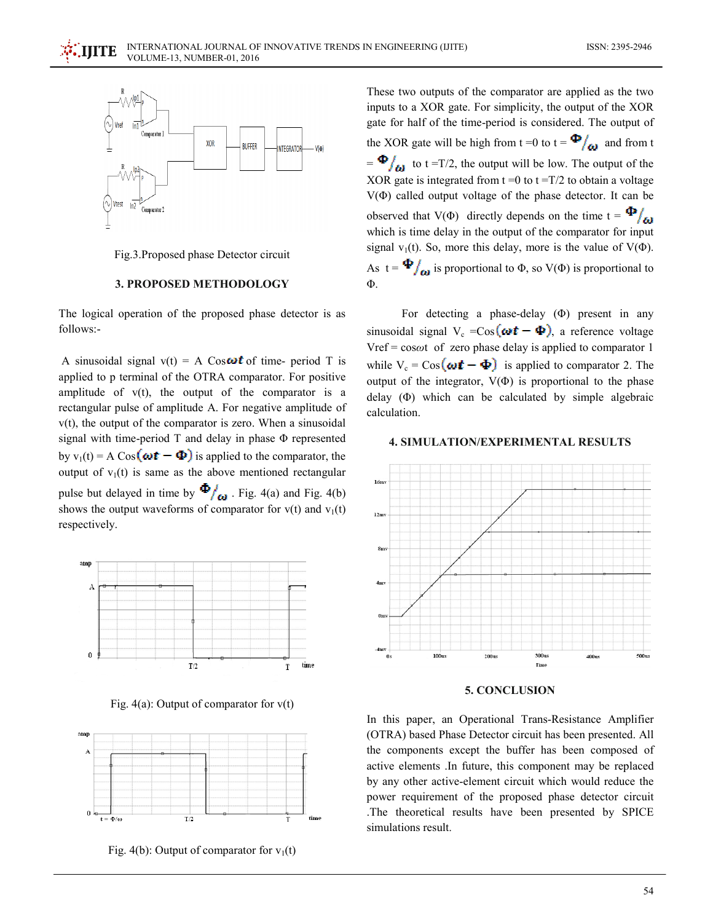



## **3. PROPOSED METHODOLOGY**

The logical operation of the proposed phase detector is as follows:-

A sinusoidal signal  $v(t) = A \cos \omega t$  of time-period T is applied to p terminal of the OTRA comparator. For positive amplitude of  $v(t)$ , the output of the comparator is a rectangular pulse of amplitude A. For negative amplitude of  $v(t)$ , the output of the comparator is zero. When a sinusoidal signal with time-period  $T$  and delay in phase  $\Phi$  represented by  $v_1(t) = A \cos(\omega t - \Phi)$  is applied to the comparator, the output of  $v_1(t)$  is same as the above mentioned rectangular pulse but delayed in time by  $\Phi/_{\text{G1}}$ . Fig. 4(a) and Fig. 4(b) shows the output waveforms of comparator for  $v(t)$  and  $v_1(t)$ respectively.



Fig. 4(a): Output of comparator for  $v(t)$ 



Fig. 4(b): Output of comparator for  $v_1(t)$ 

These two outputs of the comparator are applied as the two inputs to a XOR gate. For simplicity, the output of the XOR gate for half of the time-period is considered. The output of the XOR gate will be high from  $t = 0$  to  $t = \frac{\Phi}{\omega}$  and from t  $=\Phi/_{\omega}$  to t =T/2, the output will be low. The output of the XOR gate is integrated from  $t = 0$  to  $t = T/2$  to obtain a voltage  $V(\Phi)$  called output voltage of the phase detector. It can be observed that V( $\Phi$ ) directly depends on the time  $t = \Phi /_{60}$ which is time delay in the output of the comparator for input signal  $v_1(t)$ . So, more this delay, more is the value of  $V(\Phi)$ . As  $t = \Phi/_{\omega}$  is proportional to  $\Phi$ , so  $V(\Phi)$  is proportional to  $\Phi$ .

For detecting a phase-delay  $(\Phi)$  present in any sinusoidal signal  $V_c = Cos(\omega t - \Phi)$ , a reference voltage Vref =  $cos\omega t$  of zero phase delay is applied to comparator 1 while  $V_c = \cos(\omega t - \Phi)$  is applied to comparator 2. The output of the integrator,  $V(\Phi)$  is proportional to the phase delay  $(\Phi)$  which can be calculated by simple algebraic calculation.

#### **4. SIMULATION/EXPERIMENTAL RESULTS**



#### 5. CONCLUSION

In this paper, an Operational Trans-Resistance Amplifier (OTRA) based Phase Detector circuit has been presented. All the components except the buffer has been composed of active elements .In future, this component may be replaced by any other active-element circuit which would reduce the power requirement of the proposed phase detector circuit The theoretical results have been presented by SPICE simulations result.